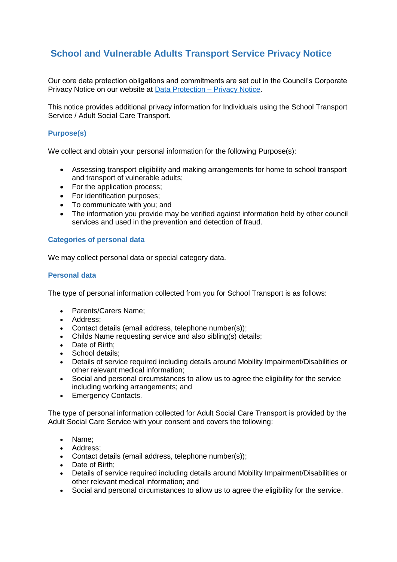# **School and Vulnerable Adults Transport Service Privacy Notice**

Our core data protection obligations and commitments are set out in the Council's Corporate Privacy Notice on our website at [Data Protection –](https://www.tameside.gov.uk/dataprotection/PrivacyNotice) Privacy Notice.

This notice provides additional privacy information for Individuals using the School Transport Service / Adult Social Care Transport.

# **Purpose(s)**

We collect and obtain your personal information for the following Purpose(s):

- Assessing transport eligibility and making arrangements for home to school transport and transport of vulnerable adults;
- For the application process:
- For identification purposes:
- To communicate with you; and
- The information you provide may be verified against information held by other council services and used in the prevention and detection of fraud.

# **Categories of personal data**

We may collect personal data or special category data.

## **Personal data**

The type of personal information collected from you for School Transport is as follows:

- Parents/Carers Name:
- Address:
- Contact details (email address, telephone number(s));
- Childs Name requesting service and also sibling(s) details;
- Date of Birth;
- School details;
- Details of service required including details around Mobility Impairment/Disabilities or other relevant medical information;
- Social and personal circumstances to allow us to agree the eligibility for the service including working arrangements; and
- Emergency Contacts.

The type of personal information collected for Adult Social Care Transport is provided by the Adult Social Care Service with your consent and covers the following:

- Name;
- Address:
- Contact details (email address, telephone number(s));
- Date of Birth:
- Details of service required including details around Mobility Impairment/Disabilities or other relevant medical information; and
- Social and personal circumstances to allow us to agree the eligibility for the service.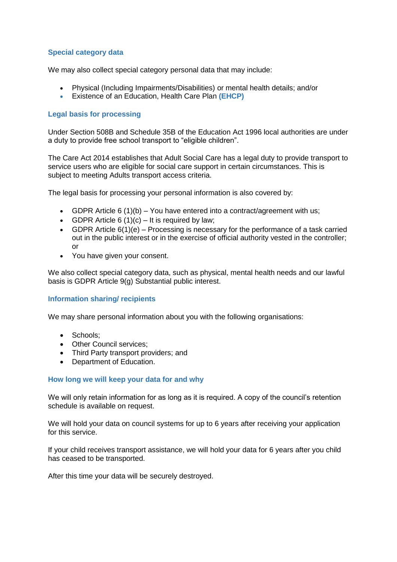# **Special category data**

We may also collect special category personal data that may include:

- Physical (Including Impairments/Disabilities) or mental health details; and/or
- Existence of an Education, Health Care Plan **(EHCP)**

## **Legal basis for processing**

Under Section 508B and Schedule 35B of the Education Act 1996 local authorities are under a duty to provide free school transport to "eligible children".

The Care Act 2014 establishes that Adult Social Care has a legal duty to provide transport to service users who are eligible for social care support in certain circumstances. This is subject to meeting Adults transport access criteria.

The legal basis for processing your personal information is also covered by:

- GDPR Article 6 (1)(b) You have entered into a contract/agreement with us;
- GDPR Article  $6(1)(c) It$  is required by law;
- GDPR Article  $6(1)(e)$  Processing is necessary for the performance of a task carried out in the public interest or in the exercise of official authority vested in the controller; or
- You have given your consent.

We also collect special category data, such as physical, mental health needs and our lawful basis is GDPR Article 9(g) Substantial public interest.

# **Information sharing/ recipients**

We may share personal information about you with the following organisations:

- Schools:
- Other Council services:
- Third Party transport providers; and
- Department of Education.

#### **How long we will keep your data for and why**

We will only retain information for as long as it is required. A copy of the council's retention schedule is available on request.

We will hold your data on council systems for up to 6 years after receiving your application for this service.

If your child receives transport assistance, we will hold your data for 6 years after you child has ceased to be transported.

After this time your data will be securely destroyed.